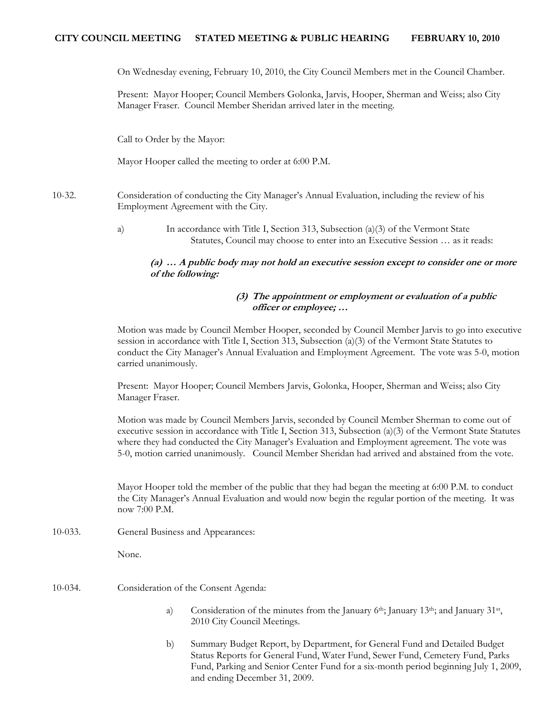# **CITY COUNCIL MEETING STATED MEETING & PUBLIC HEARING FEBRUARY 10, 2010**

On Wednesday evening, February 10, 2010, the City Council Members met in the Council Chamber.

Present: Mayor Hooper; Council Members Golonka, Jarvis, Hooper, Sherman and Weiss; also City Manager Fraser. Council Member Sheridan arrived later in the meeting.

Call to Order by the Mayor:

Mayor Hooper called the meeting to order at 6:00 P.M.

- 10-32. Consideration of conducting the City Manager's Annual Evaluation, including the review of his Employment Agreement with the City.
	- a) In accordance with Title I, Section 313, Subsection (a)(3) of the Vermont State Statutes, Council may choose to enter into an Executive Session … as it reads:

## **(a) … A public body may not hold an executive session except to consider one or more of the following:**

# **(3) The appointment or employment or evaluation of a public officer or employee; …**

Motion was made by Council Member Hooper, seconded by Council Member Jarvis to go into executive session in accordance with Title I, Section 313, Subsection (a)(3) of the Vermont State Statutes to conduct the City Manager's Annual Evaluation and Employment Agreement. The vote was 5-0, motion carried unanimously.

Present: Mayor Hooper; Council Members Jarvis, Golonka, Hooper, Sherman and Weiss; also City Manager Fraser.

Motion was made by Council Members Jarvis, seconded by Council Member Sherman to come out of executive session in accordance with Title I, Section 313, Subsection (a)(3) of the Vermont State Statutes where they had conducted the City Manager's Evaluation and Employment agreement. The vote was 5-0, motion carried unanimously. Council Member Sheridan had arrived and abstained from the vote.

Mayor Hooper told the member of the public that they had began the meeting at 6:00 P.M. to conduct the City Manager's Annual Evaluation and would now begin the regular portion of the meeting. It was now 7:00 P.M.

10-033. General Business and Appearances:

None.

- 10-034. Consideration of the Consent Agenda:
	- a) Consideration of the minutes from the January 6<sup>th</sup>; January 13<sup>th</sup>; and January 31<sup>st</sup>, 2010 City Council Meetings.
	- b) Summary Budget Report, by Department, for General Fund and Detailed Budget Status Reports for General Fund, Water Fund, Sewer Fund, Cemetery Fund, Parks Fund, Parking and Senior Center Fund for a six-month period beginning July 1, 2009, and ending December 31, 2009.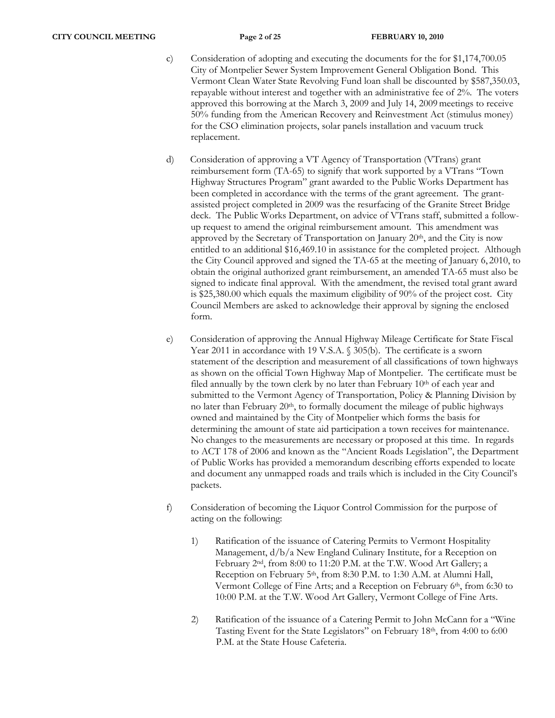- c) Consideration of adopting and executing the documents for the for \$1,174,700.05 City of Montpelier Sewer System Improvement General Obligation Bond. This Vermont Clean Water State Revolving Fund loan shall be discounted by \$587,350.03, repayable without interest and together with an administrative fee of 2%. The voters approved this borrowing at the March 3, 2009 and July 14, 2009 meetings to receive 50% funding from the American Recovery and Reinvestment Act (stimulus money) for the CSO elimination projects, solar panels installation and vacuum truck replacement.
- d) Consideration of approving a VT Agency of Transportation (VTrans) grant reimbursement form (TA-65) to signify that work supported by a VTrans "Town Highway Structures Program" grant awarded to the Public Works Department has been completed in accordance with the terms of the grant agreement. The grantassisted project completed in 2009 was the resurfacing of the Granite Street Bridge deck. The Public Works Department, on advice of VTrans staff, submitted a followup request to amend the original reimbursement amount. This amendment was approved by the Secretary of Transportation on January 20<sup>th</sup>, and the City is now entitled to an additional \$16,469.10 in assistance for the completed project. Although the City Council approved and signed the TA-65 at the meeting of January 6, 2010, to obtain the original authorized grant reimbursement, an amended TA-65 must also be signed to indicate final approval. With the amendment, the revised total grant award is \$25,380.00 which equals the maximum eligibility of 90% of the project cost. City Council Members are asked to acknowledge their approval by signing the enclosed form.
- e) Consideration of approving the Annual Highway Mileage Certificate for State Fiscal Year 2011 in accordance with 19 V.S.A. § 305(b). The certificate is a sworn statement of the description and measurement of all classifications of town highways as shown on the official Town Highway Map of Montpelier. The certificate must be filed annually by the town clerk by no later than February 10<sup>th</sup> of each year and submitted to the Vermont Agency of Transportation, Policy & Planning Division by no later than February 20<sup>th</sup>, to formally document the mileage of public highways owned and maintained by the City of Montpelier which forms the basis for determining the amount of state aid participation a town receives for maintenance. No changes to the measurements are necessary or proposed at this time. In regards to ACT 178 of 2006 and known as the "Ancient Roads Legislation", the Department of Public Works has provided a memorandum describing efforts expended to locate and document any unmapped roads and trails which is included in the City Council's packets.
- f) Consideration of becoming the Liquor Control Commission for the purpose of acting on the following:
	- 1) Ratification of the issuance of Catering Permits to Vermont Hospitality Management, d/b/a New England Culinary Institute, for a Reception on February 2nd, from 8:00 to 11:20 P.M. at the T.W. Wood Art Gallery; a Reception on February 5<sup>th</sup>, from 8:30 P.M. to 1:30 A.M. at Alumni Hall, Vermont College of Fine Arts; and a Reception on February 6th, from 6:30 to 10:00 P.M. at the T.W. Wood Art Gallery, Vermont College of Fine Arts.
	- 2) Ratification of the issuance of a Catering Permit to John McCann for a "Wine Tasting Event for the State Legislators" on February 18th, from 4:00 to 6:00 P.M. at the State House Cafeteria.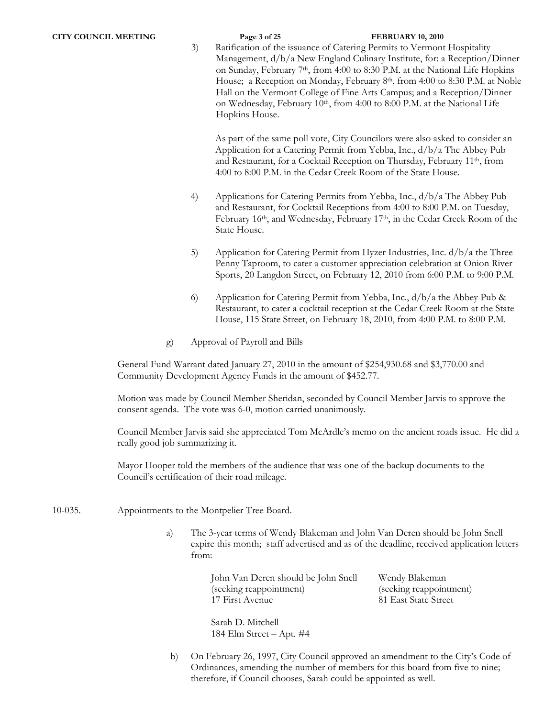3) Ratification of the issuance of Catering Permits to Vermont Hospitality Management, d/b/a New England Culinary Institute, for: a Reception/Dinner on Sunday, February 7th, from 4:00 to 8:30 P.M. at the National Life Hopkins House; a Reception on Monday, February 8th, from 4:00 to 8:30 P.M. at Noble Hall on the Vermont College of Fine Arts Campus; and a Reception/Dinner on Wednesday, February 10th, from 4:00 to 8:00 P.M. at the National Life Hopkins House.

As part of the same poll vote, City Councilors were also asked to consider an Application for a Catering Permit from Yebba, Inc., d/b/a The Abbey Pub and Restaurant, for a Cocktail Reception on Thursday, February 11th, from 4:00 to 8:00 P.M. in the Cedar Creek Room of the State House.

- 4) Applications for Catering Permits from Yebba, Inc., d/b/a The Abbey Pub and Restaurant, for Cocktail Receptions from 4:00 to 8:00 P.M. on Tuesday, February 16th, and Wednesday, February 17th, in the Cedar Creek Room of the State House.
- 5) Application for Catering Permit from Hyzer Industries, Inc. d/b/a the Three Penny Taproom, to cater a customer appreciation celebration at Onion River Sports, 20 Langdon Street, on February 12, 2010 from 6:00 P.M. to 9:00 P.M.
- 6) Application for Catering Permit from Yebba, Inc., d/b/a the Abbey Pub & Restaurant, to cater a cocktail reception at the Cedar Creek Room at the State House, 115 State Street, on February 18, 2010, from 4:00 P.M. to 8:00 P.M.
- g) Approval of Payroll and Bills

General Fund Warrant dated January 27, 2010 in the amount of \$254,930.68 and \$3,770.00 and Community Development Agency Funds in the amount of \$452.77.

Motion was made by Council Member Sheridan, seconded by Council Member Jarvis to approve the consent agenda. The vote was 6-0, motion carried unanimously.

Council Member Jarvis said she appreciated Tom McArdle's memo on the ancient roads issue. He did a really good job summarizing it.

Mayor Hooper told the members of the audience that was one of the backup documents to the Council's certification of their road mileage.

- 10-035. Appointments to the Montpelier Tree Board.
	- a) The 3-year terms of Wendy Blakeman and John Van Deren should be John Snell expire this month; staff advertised and as of the deadline, received application letters from:

 John Van Deren should be John Snell Wendy Blakeman (seeking reappointment) (seeking reappointment) 17 First Avenue 81 East State Street

 Sarah D. Mitchell 184 Elm Street – Apt. #4

b) On February 26, 1997, City Council approved an amendment to the City's Code of Ordinances, amending the number of members for this board from five to nine; therefore, if Council chooses, Sarah could be appointed as well.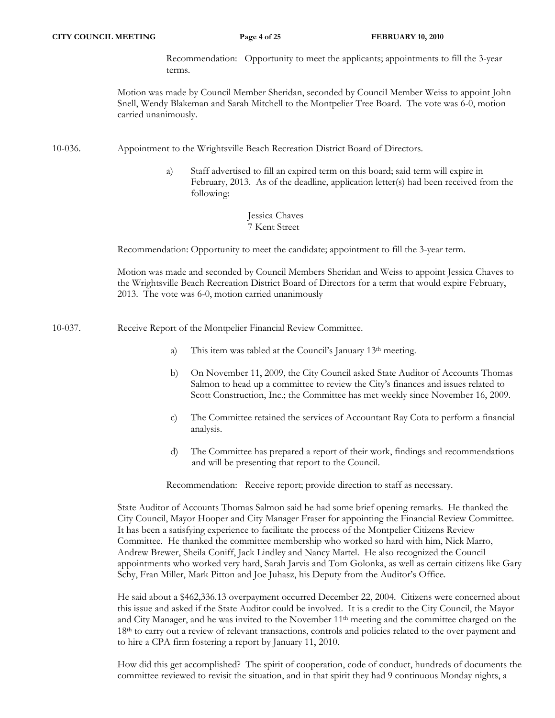Recommendation: Opportunity to meet the applicants; appointments to fill the 3-year terms.

Motion was made by Council Member Sheridan, seconded by Council Member Weiss to appoint John Snell, Wendy Blakeman and Sarah Mitchell to the Montpelier Tree Board. The vote was 6-0, motion carried unanimously.

- 10-036. Appointment to the Wrightsville Beach Recreation District Board of Directors.
	- a) Staff advertised to fill an expired term on this board; said term will expire in February, 2013. As of the deadline, application letter(s) had been received from the following:

### Jessica Chaves 7 Kent Street

Recommendation: Opportunity to meet the candidate; appointment to fill the 3-year term.

Motion was made and seconded by Council Members Sheridan and Weiss to appoint Jessica Chaves to the Wrightsville Beach Recreation District Board of Directors for a term that would expire February, 2013. The vote was 6-0, motion carried unanimously

10-037. Receive Report of the Montpelier Financial Review Committee.

- a) This item was tabled at the Council's January 13<sup>th</sup> meeting.
- b) On November 11, 2009, the City Council asked State Auditor of Accounts Thomas Salmon to head up a committee to review the City's finances and issues related to Scott Construction, Inc.; the Committee has met weekly since November 16, 2009.
- c) The Committee retained the services of Accountant Ray Cota to perform a financial analysis.
- d) The Committee has prepared a report of their work, findings and recommendations and will be presenting that report to the Council.

Recommendation: Receive report; provide direction to staff as necessary.

State Auditor of Accounts Thomas Salmon said he had some brief opening remarks. He thanked the City Council, Mayor Hooper and City Manager Fraser for appointing the Financial Review Committee. It has been a satisfying experience to facilitate the process of the Montpelier Citizens Review Committee. He thanked the committee membership who worked so hard with him, Nick Marro, Andrew Brewer, Sheila Coniff, Jack Lindley and Nancy Martel. He also recognized the Council appointments who worked very hard, Sarah Jarvis and Tom Golonka, as well as certain citizens like Gary Schy, Fran Miller, Mark Pitton and Joe Juhasz, his Deputy from the Auditor's Office.

He said about a \$462,336.13 overpayment occurred December 22, 2004. Citizens were concerned about this issue and asked if the State Auditor could be involved. It is a credit to the City Council, the Mayor and City Manager, and he was invited to the November 11th meeting and the committee charged on the 18th to carry out a review of relevant transactions, controls and policies related to the over payment and to hire a CPA firm fostering a report by January 11, 2010.

How did this get accomplished? The spirit of cooperation, code of conduct, hundreds of documents the committee reviewed to revisit the situation, and in that spirit they had 9 continuous Monday nights, a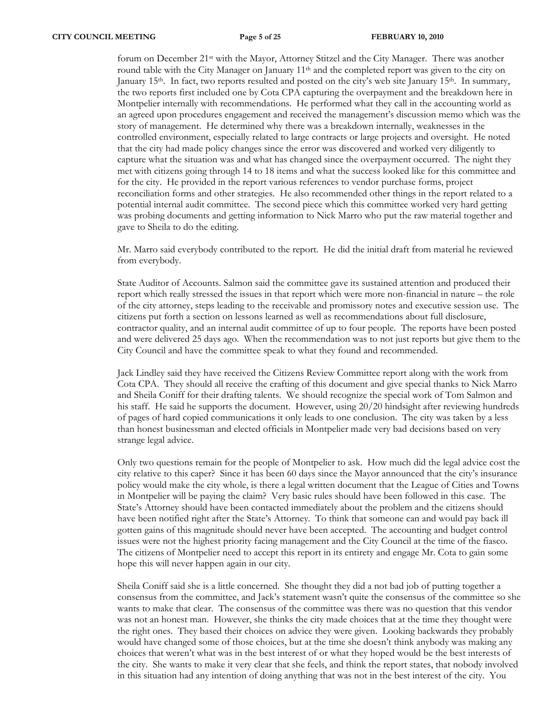forum on December 21st with the Mayor, Attorney Stitzel and the City Manager. There was another round table with the City Manager on January 11<sup>th</sup> and the completed report was given to the city on January  $15<sup>th</sup>$ . In fact, two reports resulted and posted on the city's web site January  $15<sup>th</sup>$ . In summary, the two reports first included one by Cota CPA capturing the overpayment and the breakdown here in Montpelier internally with recommendations. He performed what they call in the accounting world as an agreed upon procedures engagement and received the management's discussion memo which was the story of management. He determined why there was a breakdown internally, weaknesses in the controlled environment, especially related to large contracts or large projects and oversight. He noted that the city had made policy changes since the error was discovered and worked very diligently to capture what the situation was and what has changed since the overpayment occurred. The night they met with citizens going through 14 to 18 items and what the success looked like for this committee and for the city. He provided in the report various references to vendor purchase forms, project reconciliation forms and other strategies. He also recommended other things in the report related to a potential internal audit committee. The second piece which this committee worked very hard getting was probing documents and getting information to Nick Marro who put the raw material together and gave to Sheila to do the editing.

Mr. Marro said everybody contributed to the report. He did the initial draft from material he reviewed from everybody.

State Auditor of Accounts. Salmon said the committee gave its sustained attention and produced their report which really stressed the issues in that report which were more non-financial in nature – the role of the city attorney, steps leading to the receivable and promissory notes and executive session use. The citizens put forth a section on lessons learned as well as recommendations about full disclosure, contractor quality, and an internal audit committee of up to four people. The reports have been posted and were delivered 25 days ago. When the recommendation was to not just reports but give them to the City Council and have the committee speak to what they found and recommended.

Jack Lindley said they have received the Citizens Review Committee report along with the work from Cota CPA. They should all receive the crafting of this document and give special thanks to Nick Marro and Sheila Coniff for their drafting talents. We should recognize the special work of Tom Salmon and his staff. He said he supports the document. However, using 20/20 hindsight after reviewing hundreds of pages of hard copied communications it only leads to one conclusion. The city was taken by a less than honest businessman and elected officials in Montpelier made very bad decisions based on very strange legal advice.

Only two questions remain for the people of Montpelier to ask. How much did the legal advice cost the city relative to this caper? Since it has been 60 days since the Mayor announced that the city's insurance policy would make the city whole, is there a legal written document that the League of Cities and Towns in Montpelier will be paying the claim? Very basic rules should have been followed in this case. The State's Attorney should have been contacted immediately about the problem and the citizens should have been notified right after the State's Attorney. To think that someone can and would pay back ill gotten gains of this magnitude should never have been accepted. The accounting and budget control issues were not the highest priority facing management and the City Council at the time of the fiasco. The citizens of Montpelier need to accept this report in its entirety and engage Mr. Cota to gain some hope this will never happen again in our city.

Sheila Coniff said she is a little concerned. She thought they did a not bad job of putting together a consensus from the committee, and Jack's statement wasn't quite the consensus of the committee so she wants to make that clear. The consensus of the committee was there was no question that this vendor was not an honest man. However, she thinks the city made choices that at the time they thought were the right ones. They based their choices on advice they were given. Looking backwards they probably would have changed some of those choices, but at the time she doesn't think anybody was making any choices that weren't what was in the best interest of or what they hoped would be the best interests of the city. She wants to make it very clear that she feels, and think the report states, that nobody involved in this situation had any intention of doing anything that was not in the best interest of the city. You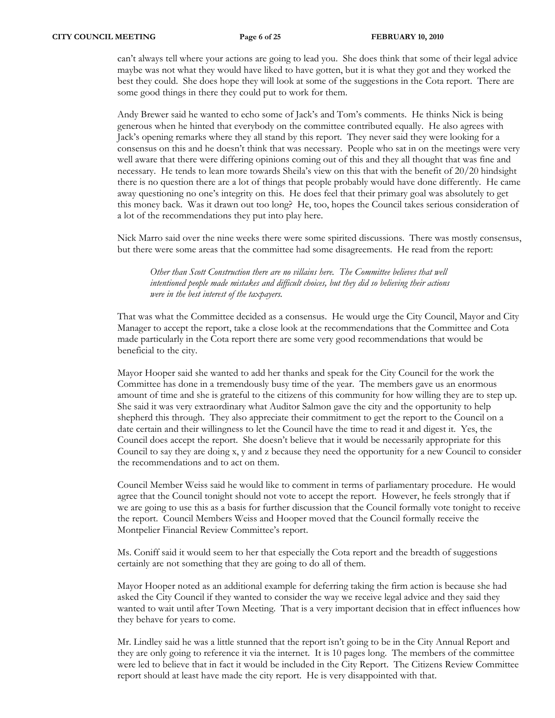can't always tell where your actions are going to lead you. She does think that some of their legal advice maybe was not what they would have liked to have gotten, but it is what they got and they worked the best they could. She does hope they will look at some of the suggestions in the Cota report. There are some good things in there they could put to work for them.

Andy Brewer said he wanted to echo some of Jack's and Tom's comments. He thinks Nick is being generous when he hinted that everybody on the committee contributed equally. He also agrees with Jack's opening remarks where they all stand by this report. They never said they were looking for a consensus on this and he doesn't think that was necessary. People who sat in on the meetings were very well aware that there were differing opinions coming out of this and they all thought that was fine and necessary. He tends to lean more towards Sheila's view on this that with the benefit of 20/20 hindsight there is no question there are a lot of things that people probably would have done differently. He came away questioning no one's integrity on this. He does feel that their primary goal was absolutely to get this money back. Was it drawn out too long? He, too, hopes the Council takes serious consideration of a lot of the recommendations they put into play here.

Nick Marro said over the nine weeks there were some spirited discussions. There was mostly consensus, but there were some areas that the committee had some disagreements. He read from the report:

*Other than Scott Construction there are no villains here. The Committee believes that well intentioned people made mistakes and difficult choices, but they did so believing their actions were in the best interest of the taxpayers.* 

That was what the Committee decided as a consensus. He would urge the City Council, Mayor and City Manager to accept the report, take a close look at the recommendations that the Committee and Cota made particularly in the Cota report there are some very good recommendations that would be beneficial to the city.

Mayor Hooper said she wanted to add her thanks and speak for the City Council for the work the Committee has done in a tremendously busy time of the year. The members gave us an enormous amount of time and she is grateful to the citizens of this community for how willing they are to step up. She said it was very extraordinary what Auditor Salmon gave the city and the opportunity to help shepherd this through. They also appreciate their commitment to get the report to the Council on a date certain and their willingness to let the Council have the time to read it and digest it. Yes, the Council does accept the report. She doesn't believe that it would be necessarily appropriate for this Council to say they are doing x, y and z because they need the opportunity for a new Council to consider the recommendations and to act on them.

Council Member Weiss said he would like to comment in terms of parliamentary procedure. He would agree that the Council tonight should not vote to accept the report. However, he feels strongly that if we are going to use this as a basis for further discussion that the Council formally vote tonight to receive the report. Council Members Weiss and Hooper moved that the Council formally receive the Montpelier Financial Review Committee's report.

Ms. Coniff said it would seem to her that especially the Cota report and the breadth of suggestions certainly are not something that they are going to do all of them.

Mayor Hooper noted as an additional example for deferring taking the firm action is because she had asked the City Council if they wanted to consider the way we receive legal advice and they said they wanted to wait until after Town Meeting. That is a very important decision that in effect influences how they behave for years to come.

Mr. Lindley said he was a little stunned that the report isn't going to be in the City Annual Report and they are only going to reference it via the internet. It is 10 pages long. The members of the committee were led to believe that in fact it would be included in the City Report. The Citizens Review Committee report should at least have made the city report. He is very disappointed with that.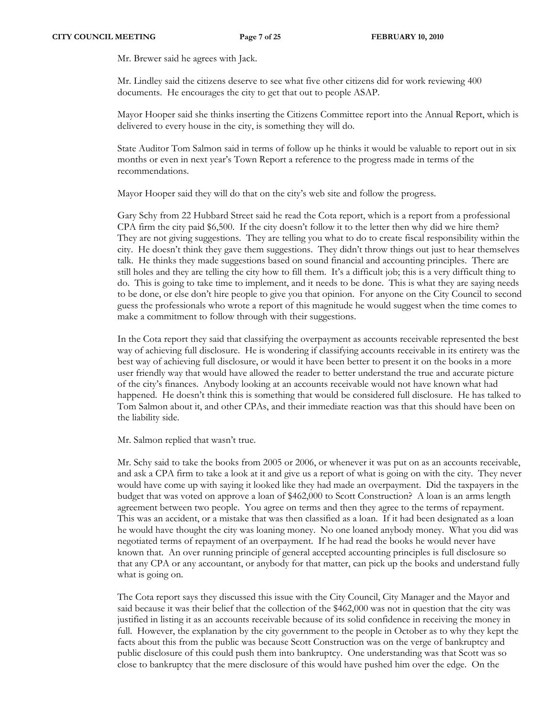Mr. Brewer said he agrees with Jack.

Mr. Lindley said the citizens deserve to see what five other citizens did for work reviewing 400 documents. He encourages the city to get that out to people ASAP.

Mayor Hooper said she thinks inserting the Citizens Committee report into the Annual Report, which is delivered to every house in the city, is something they will do.

State Auditor Tom Salmon said in terms of follow up he thinks it would be valuable to report out in six months or even in next year's Town Report a reference to the progress made in terms of the recommendations.

Mayor Hooper said they will do that on the city's web site and follow the progress.

Gary Schy from 22 Hubbard Street said he read the Cota report, which is a report from a professional CPA firm the city paid \$6,500. If the city doesn't follow it to the letter then why did we hire them? They are not giving suggestions. They are telling you what to do to create fiscal responsibility within the city. He doesn't think they gave them suggestions. They didn't throw things out just to hear themselves talk. He thinks they made suggestions based on sound financial and accounting principles. There are still holes and they are telling the city how to fill them. It's a difficult job; this is a very difficult thing to do. This is going to take time to implement, and it needs to be done. This is what they are saying needs to be done, or else don't hire people to give you that opinion. For anyone on the City Council to second guess the professionals who wrote a report of this magnitude he would suggest when the time comes to make a commitment to follow through with their suggestions.

In the Cota report they said that classifying the overpayment as accounts receivable represented the best way of achieving full disclosure. He is wondering if classifying accounts receivable in its entirety was the best way of achieving full disclosure, or would it have been better to present it on the books in a more user friendly way that would have allowed the reader to better understand the true and accurate picture of the city's finances. Anybody looking at an accounts receivable would not have known what had happened. He doesn't think this is something that would be considered full disclosure. He has talked to Tom Salmon about it, and other CPAs, and their immediate reaction was that this should have been on the liability side.

Mr. Salmon replied that wasn't true.

Mr. Schy said to take the books from 2005 or 2006, or whenever it was put on as an accounts receivable, and ask a CPA firm to take a look at it and give us a report of what is going on with the city. They never would have come up with saying it looked like they had made an overpayment. Did the taxpayers in the budget that was voted on approve a loan of \$462,000 to Scott Construction? A loan is an arms length agreement between two people. You agree on terms and then they agree to the terms of repayment. This was an accident, or a mistake that was then classified as a loan. If it had been designated as a loan he would have thought the city was loaning money. No one loaned anybody money. What you did was negotiated terms of repayment of an overpayment. If he had read the books he would never have known that. An over running principle of general accepted accounting principles is full disclosure so that any CPA or any accountant, or anybody for that matter, can pick up the books and understand fully what is going on.

The Cota report says they discussed this issue with the City Council, City Manager and the Mayor and said because it was their belief that the collection of the \$462,000 was not in question that the city was justified in listing it as an accounts receivable because of its solid confidence in receiving the money in full. However, the explanation by the city government to the people in October as to why they kept the facts about this from the public was because Scott Construction was on the verge of bankruptcy and public disclosure of this could push them into bankruptcy. One understanding was that Scott was so close to bankruptcy that the mere disclosure of this would have pushed him over the edge. On the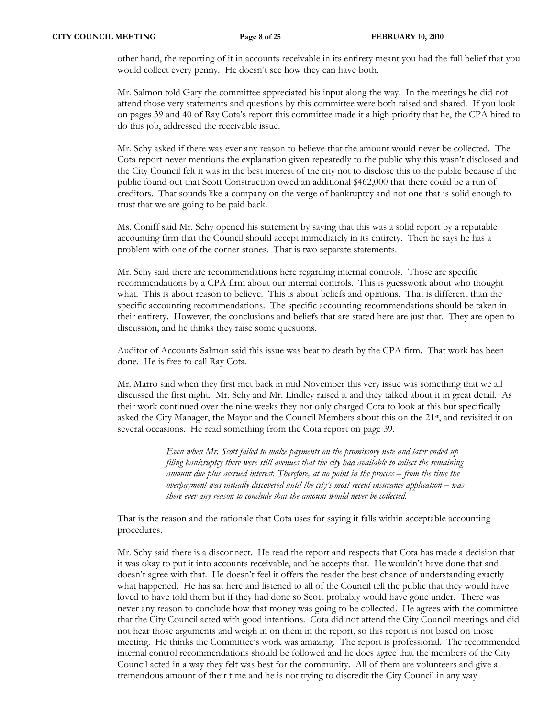other hand, the reporting of it in accounts receivable in its entirety meant you had the full belief that you would collect every penny. He doesn't see how they can have both.

Mr. Salmon told Gary the committee appreciated his input along the way. In the meetings he did not attend those very statements and questions by this committee were both raised and shared. If you look on pages 39 and 40 of Ray Cota's report this committee made it a high priority that he, the CPA hired to do this job, addressed the receivable issue.

Mr. Schy asked if there was ever any reason to believe that the amount would never be collected. The Cota report never mentions the explanation given repeatedly to the public why this wasn't disclosed and the City Council felt it was in the best interest of the city not to disclose this to the public because if the public found out that Scott Construction owed an additional \$462,000 that there could be a run of creditors. That sounds like a company on the verge of bankruptcy and not one that is solid enough to trust that we are going to be paid back.

Ms. Coniff said Mr. Schy opened his statement by saying that this was a solid report by a reputable accounting firm that the Council should accept immediately in its entirety. Then he says he has a problem with one of the corner stones. That is two separate statements.

Mr. Schy said there are recommendations here regarding internal controls. Those are specific recommendations by a CPA firm about our internal controls. This is guesswork about who thought what. This is about reason to believe. This is about beliefs and opinions. That is different than the specific accounting recommendations. The specific accounting recommendations should be taken in their entirety. However, the conclusions and beliefs that are stated here are just that. They are open to discussion, and he thinks they raise some questions.

Auditor of Accounts Salmon said this issue was beat to death by the CPA firm. That work has been done. He is free to call Ray Cota.

Mr. Marro said when they first met back in mid November this very issue was something that we all discussed the first night. Mr. Schy and Mr. Lindley raised it and they talked about it in great detail. As their work continued over the nine weeks they not only charged Cota to look at this but specifically asked the City Manager, the Mayor and the Council Members about this on the 21st, and revisited it on several occasions. He read something from the Cota report on page 39.

> *Even when Mr. Scott failed to make payments on the promissory note and later ended up filing bankruptcy there were still avenues that the city had available to collect the remaining amount due plus accrued interest. Therefore, at no point in the process – from the time the overpayment was initially discovered until the city's most recent insurance application – was there ever any reason to conclude that the amount would never be collected.*

That is the reason and the rationale that Cota uses for saying it falls within acceptable accounting procedures.

Mr. Schy said there is a disconnect. He read the report and respects that Cota has made a decision that it was okay to put it into accounts receivable, and he accepts that. He wouldn't have done that and doesn't agree with that. He doesn't feel it offers the reader the best chance of understanding exactly what happened. He has sat here and listened to all of the Council tell the public that they would have loved to have told them but if they had done so Scott probably would have gone under. There was never any reason to conclude how that money was going to be collected. He agrees with the committee that the City Council acted with good intentions. Cota did not attend the City Council meetings and did not hear those arguments and weigh in on them in the report, so this report is not based on those meeting. He thinks the Committee's work was amazing. The report is professional. The recommended internal control recommendations should be followed and he does agree that the members of the City Council acted in a way they felt was best for the community. All of them are volunteers and give a tremendous amount of their time and he is not trying to discredit the City Council in any way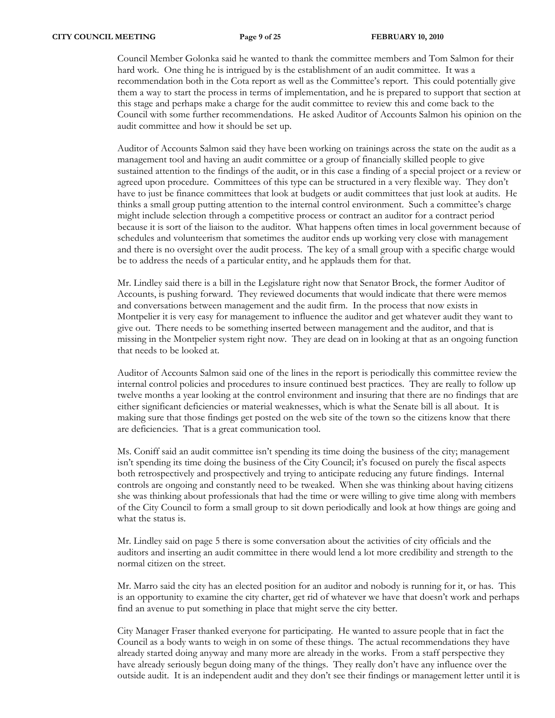Council Member Golonka said he wanted to thank the committee members and Tom Salmon for their hard work. One thing he is intrigued by is the establishment of an audit committee. It was a recommendation both in the Cota report as well as the Committee's report. This could potentially give them a way to start the process in terms of implementation, and he is prepared to support that section at this stage and perhaps make a charge for the audit committee to review this and come back to the Council with some further recommendations. He asked Auditor of Accounts Salmon his opinion on the audit committee and how it should be set up.

Auditor of Accounts Salmon said they have been working on trainings across the state on the audit as a management tool and having an audit committee or a group of financially skilled people to give sustained attention to the findings of the audit, or in this case a finding of a special project or a review or agreed upon procedure. Committees of this type can be structured in a very flexible way. They don't have to just be finance committees that look at budgets or audit committees that just look at audits. He thinks a small group putting attention to the internal control environment. Such a committee's charge might include selection through a competitive process or contract an auditor for a contract period because it is sort of the liaison to the auditor. What happens often times in local government because of schedules and volunteerism that sometimes the auditor ends up working very close with management and there is no oversight over the audit process. The key of a small group with a specific charge would be to address the needs of a particular entity, and he applauds them for that.

Mr. Lindley said there is a bill in the Legislature right now that Senator Brock, the former Auditor of Accounts, is pushing forward. They reviewed documents that would indicate that there were memos and conversations between management and the audit firm. In the process that now exists in Montpelier it is very easy for management to influence the auditor and get whatever audit they want to give out. There needs to be something inserted between management and the auditor, and that is missing in the Montpelier system right now. They are dead on in looking at that as an ongoing function that needs to be looked at.

Auditor of Accounts Salmon said one of the lines in the report is periodically this committee review the internal control policies and procedures to insure continued best practices. They are really to follow up twelve months a year looking at the control environment and insuring that there are no findings that are either significant deficiencies or material weaknesses, which is what the Senate bill is all about. It is making sure that those findings get posted on the web site of the town so the citizens know that there are deficiencies. That is a great communication tool.

Ms. Coniff said an audit committee isn't spending its time doing the business of the city; management isn't spending its time doing the business of the City Council; it's focused on purely the fiscal aspects both retrospectively and prospectively and trying to anticipate reducing any future findings. Internal controls are ongoing and constantly need to be tweaked. When she was thinking about having citizens she was thinking about professionals that had the time or were willing to give time along with members of the City Council to form a small group to sit down periodically and look at how things are going and what the status is.

Mr. Lindley said on page 5 there is some conversation about the activities of city officials and the auditors and inserting an audit committee in there would lend a lot more credibility and strength to the normal citizen on the street.

Mr. Marro said the city has an elected position for an auditor and nobody is running for it, or has. This is an opportunity to examine the city charter, get rid of whatever we have that doesn't work and perhaps find an avenue to put something in place that might serve the city better.

City Manager Fraser thanked everyone for participating. He wanted to assure people that in fact the Council as a body wants to weigh in on some of these things. The actual recommendations they have already started doing anyway and many more are already in the works. From a staff perspective they have already seriously begun doing many of the things. They really don't have any influence over the outside audit. It is an independent audit and they don't see their findings or management letter until it is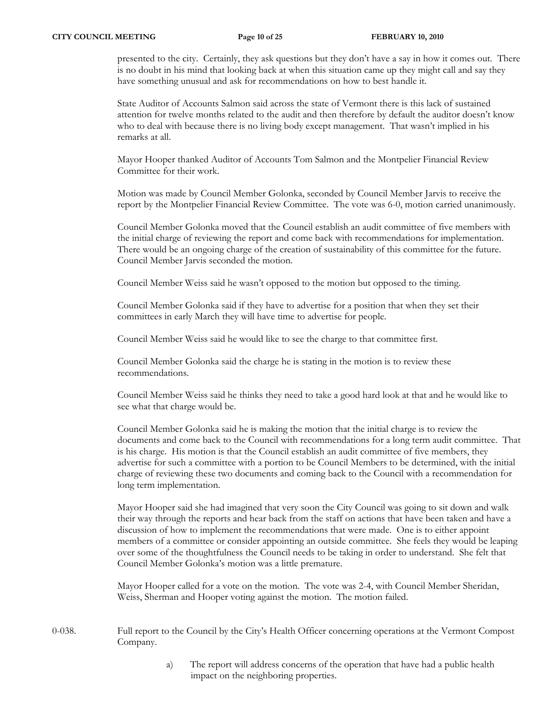presented to the city. Certainly, they ask questions but they don't have a say in how it comes out. There is no doubt in his mind that looking back at when this situation came up they might call and say they have something unusual and ask for recommendations on how to best handle it.

State Auditor of Accounts Salmon said across the state of Vermont there is this lack of sustained attention for twelve months related to the audit and then therefore by default the auditor doesn't know who to deal with because there is no living body except management. That wasn't implied in his remarks at all.

Mayor Hooper thanked Auditor of Accounts Tom Salmon and the Montpelier Financial Review Committee for their work.

Motion was made by Council Member Golonka, seconded by Council Member Jarvis to receive the report by the Montpelier Financial Review Committee. The vote was 6-0, motion carried unanimously.

Council Member Golonka moved that the Council establish an audit committee of five members with the initial charge of reviewing the report and come back with recommendations for implementation. There would be an ongoing charge of the creation of sustainability of this committee for the future. Council Member Jarvis seconded the motion.

Council Member Weiss said he wasn't opposed to the motion but opposed to the timing.

Council Member Golonka said if they have to advertise for a position that when they set their committees in early March they will have time to advertise for people.

Council Member Weiss said he would like to see the charge to that committee first.

Council Member Golonka said the charge he is stating in the motion is to review these recommendations.

Council Member Weiss said he thinks they need to take a good hard look at that and he would like to see what that charge would be.

Council Member Golonka said he is making the motion that the initial charge is to review the documents and come back to the Council with recommendations for a long term audit committee. That is his charge. His motion is that the Council establish an audit committee of five members, they advertise for such a committee with a portion to be Council Members to be determined, with the initial charge of reviewing these two documents and coming back to the Council with a recommendation for long term implementation.

Mayor Hooper said she had imagined that very soon the City Council was going to sit down and walk their way through the reports and hear back from the staff on actions that have been taken and have a discussion of how to implement the recommendations that were made. One is to either appoint members of a committee or consider appointing an outside committee. She feels they would be leaping over some of the thoughtfulness the Council needs to be taking in order to understand. She felt that Council Member Golonka's motion was a little premature.

Mayor Hooper called for a vote on the motion. The vote was 2-4, with Council Member Sheridan, Weiss, Sherman and Hooper voting against the motion. The motion failed.

0-038. Full report to the Council by the City's Health Officer concerning operations at the Vermont Compost Company.

> a) The report will address concerns of the operation that have had a public health impact on the neighboring properties.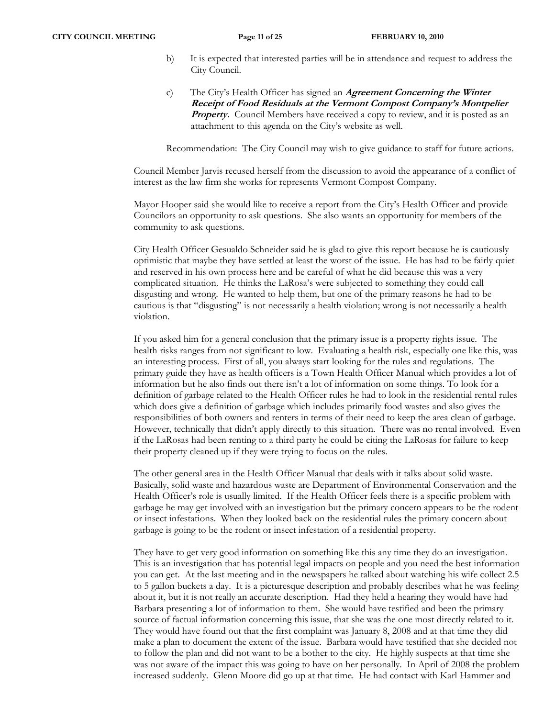- b) It is expected that interested parties will be in attendance and request to address the City Council.
- c) The City's Health Officer has signed an **Agreement Concerning the Winter Receipt of Food Residuals at the Vermont Compost Company's Montpelier Property.** Council Members have received a copy to review, and it is posted as an attachment to this agenda on the City's website as well.

Recommendation: The City Council may wish to give guidance to staff for future actions.

Council Member Jarvis recused herself from the discussion to avoid the appearance of a conflict of interest as the law firm she works for represents Vermont Compost Company.

Mayor Hooper said she would like to receive a report from the City's Health Officer and provide Councilors an opportunity to ask questions. She also wants an opportunity for members of the community to ask questions.

City Health Officer Gesualdo Schneider said he is glad to give this report because he is cautiously optimistic that maybe they have settled at least the worst of the issue. He has had to be fairly quiet and reserved in his own process here and be careful of what he did because this was a very complicated situation. He thinks the LaRosa's were subjected to something they could call disgusting and wrong. He wanted to help them, but one of the primary reasons he had to be cautious is that "disgusting" is not necessarily a health violation; wrong is not necessarily a health violation.

If you asked him for a general conclusion that the primary issue is a property rights issue. The health risks ranges from not significant to low. Evaluating a health risk, especially one like this, was an interesting process. First of all, you always start looking for the rules and regulations. The primary guide they have as health officers is a Town Health Officer Manual which provides a lot of information but he also finds out there isn't a lot of information on some things. To look for a definition of garbage related to the Health Officer rules he had to look in the residential rental rules which does give a definition of garbage which includes primarily food wastes and also gives the responsibilities of both owners and renters in terms of their need to keep the area clean of garbage. However, technically that didn't apply directly to this situation. There was no rental involved. Even if the LaRosas had been renting to a third party he could be citing the LaRosas for failure to keep their property cleaned up if they were trying to focus on the rules.

The other general area in the Health Officer Manual that deals with it talks about solid waste. Basically, solid waste and hazardous waste are Department of Environmental Conservation and the Health Officer's role is usually limited. If the Health Officer feels there is a specific problem with garbage he may get involved with an investigation but the primary concern appears to be the rodent or insect infestations. When they looked back on the residential rules the primary concern about garbage is going to be the rodent or insect infestation of a residential property.

They have to get very good information on something like this any time they do an investigation. This is an investigation that has potential legal impacts on people and you need the best information you can get. At the last meeting and in the newspapers he talked about watching his wife collect 2.5 to 5 gallon buckets a day. It is a picturesque description and probably describes what he was feeling about it, but it is not really an accurate description. Had they held a hearing they would have had Barbara presenting a lot of information to them. She would have testified and been the primary source of factual information concerning this issue, that she was the one most directly related to it. They would have found out that the first complaint was January 8, 2008 and at that time they did make a plan to document the extent of the issue. Barbara would have testified that she decided not to follow the plan and did not want to be a bother to the city. He highly suspects at that time she was not aware of the impact this was going to have on her personally. In April of 2008 the problem increased suddenly. Glenn Moore did go up at that time. He had contact with Karl Hammer and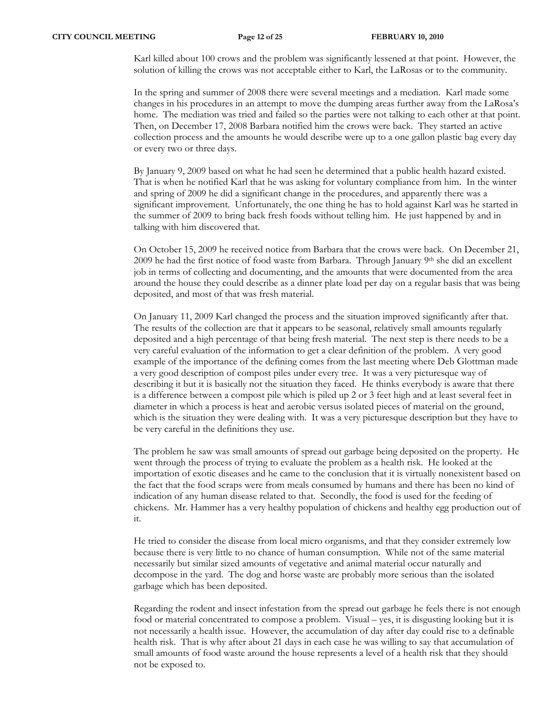Karl killed about 100 crows and the problem was significantly lessened at that point. However, the solution of killing the crows was not acceptable either to Karl, the LaRosas or to the community.

In the spring and summer of 2008 there were several meetings and a mediation. Karl made some changes in his procedures in an attempt to move the dumping areas further away from the LaRosa's home. The mediation was tried and failed so the parties were not talking to each other at that point. Then, on December 17, 2008 Barbara notified him the crows were back. They started an active collection process and the amounts he would describe were up to a one gallon plastic bag every day or every two or three days.

By January 9, 2009 based on what he had seen he determined that a public health hazard existed. That is when he notified Karl that he was asking for voluntary compliance from him. In the winter and spring of 2009 he did a significant change in the procedures, and apparently there was a significant improvement. Unfortunately, the one thing he has to hold against Karl was he started in the summer of 2009 to bring back fresh foods without telling him. He just happened by and in talking with him discovered that.

On October 15, 2009 he received notice from Barbara that the crows were back. On December 21, 2009 he had the first notice of food waste from Barbara. Through January 9th she did an excellent job in terms of collecting and documenting, and the amounts that were documented from the area around the house they could describe as a dinner plate load per day on a regular basis that was being deposited, and most of that was fresh material.

On January 11, 2009 Karl changed the process and the situation improved significantly after that. The results of the collection are that it appears to be seasonal, relatively small amounts regularly deposited and a high percentage of that being fresh material. The next step is there needs to be a very careful evaluation of the information to get a clear definition of the problem. A very good example of the importance of the defining comes from the last meeting where Deb Glottman made a very good description of compost piles under every tree. It was a very picturesque way of describing it but it is basically not the situation they faced. He thinks everybody is aware that there is a difference between a compost pile which is piled up 2 or 3 feet high and at least several feet in diameter in which a process is heat and aerobic versus isolated pieces of material on the ground, which is the situation they were dealing with. It was a very picturesque description but they have to be very careful in the definitions they use.

The problem he saw was small amounts of spread out garbage being deposited on the property. He went through the process of trying to evaluate the problem as a health risk. He looked at the importation of exotic diseases and he came to the conclusion that it is virtually nonexistent based on the fact that the food scraps were from meals consumed by humans and there has been no kind of indication of any human disease related to that. Secondly, the food is used for the feeding of chickens. Mr. Hammer has a very healthy population of chickens and healthy egg production out of it.

He tried to consider the disease from local micro organisms, and that they consider extremely low because there is very little to no chance of human consumption. While not of the same material necessarily but similar sized amounts of vegetative and animal material occur naturally and decompose in the yard. The dog and horse waste are probably more serious than the isolated garbage which has been deposited.

Regarding the rodent and insect infestation from the spread out garbage he feels there is not enough food or material concentrated to compose a problem. Visual – yes, it is disgusting looking but it is not necessarily a health issue. However, the accumulation of day after day could rise to a definable health risk. That is why after about 21 days in each case he was willing to say that accumulation of small amounts of food waste around the house represents a level of a health risk that they should not be exposed to.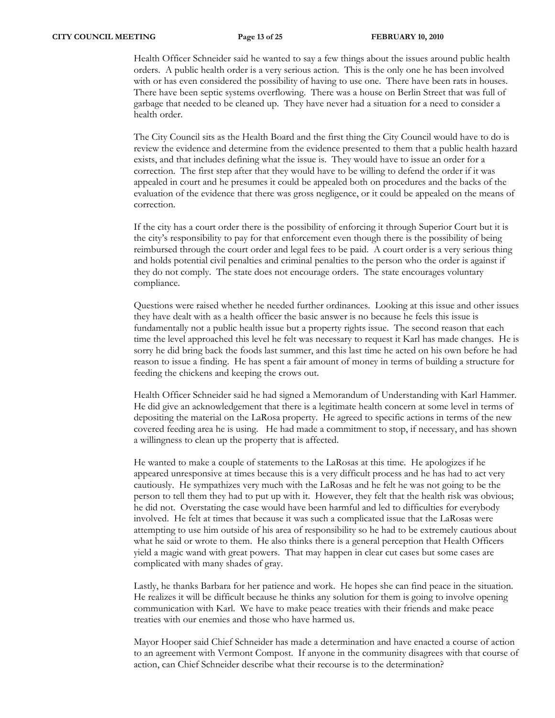Health Officer Schneider said he wanted to say a few things about the issues around public health orders. A public health order is a very serious action. This is the only one he has been involved with or has even considered the possibility of having to use one. There have been rats in houses. There have been septic systems overflowing. There was a house on Berlin Street that was full of garbage that needed to be cleaned up. They have never had a situation for a need to consider a health order.

The City Council sits as the Health Board and the first thing the City Council would have to do is review the evidence and determine from the evidence presented to them that a public health hazard exists, and that includes defining what the issue is. They would have to issue an order for a correction. The first step after that they would have to be willing to defend the order if it was appealed in court and he presumes it could be appealed both on procedures and the backs of the evaluation of the evidence that there was gross negligence, or it could be appealed on the means of correction.

If the city has a court order there is the possibility of enforcing it through Superior Court but it is the city's responsibility to pay for that enforcement even though there is the possibility of being reimbursed through the court order and legal fees to be paid. A court order is a very serious thing and holds potential civil penalties and criminal penalties to the person who the order is against if they do not comply. The state does not encourage orders. The state encourages voluntary compliance.

Questions were raised whether he needed further ordinances. Looking at this issue and other issues they have dealt with as a health officer the basic answer is no because he feels this issue is fundamentally not a public health issue but a property rights issue. The second reason that each time the level approached this level he felt was necessary to request it Karl has made changes. He is sorry he did bring back the foods last summer, and this last time he acted on his own before he had reason to issue a finding. He has spent a fair amount of money in terms of building a structure for feeding the chickens and keeping the crows out.

Health Officer Schneider said he had signed a Memorandum of Understanding with Karl Hammer. He did give an acknowledgement that there is a legitimate health concern at some level in terms of depositing the material on the LaRosa property. He agreed to specific actions in terms of the new covered feeding area he is using. He had made a commitment to stop, if necessary, and has shown a willingness to clean up the property that is affected.

He wanted to make a couple of statements to the LaRosas at this time. He apologizes if he appeared unresponsive at times because this is a very difficult process and he has had to act very cautiously. He sympathizes very much with the LaRosas and he felt he was not going to be the person to tell them they had to put up with it. However, they felt that the health risk was obvious; he did not. Overstating the case would have been harmful and led to difficulties for everybody involved. He felt at times that because it was such a complicated issue that the LaRosas were attempting to use him outside of his area of responsibility so he had to be extremely cautious about what he said or wrote to them. He also thinks there is a general perception that Health Officers yield a magic wand with great powers. That may happen in clear cut cases but some cases are complicated with many shades of gray.

Lastly, he thanks Barbara for her patience and work. He hopes she can find peace in the situation. He realizes it will be difficult because he thinks any solution for them is going to involve opening communication with Karl. We have to make peace treaties with their friends and make peace treaties with our enemies and those who have harmed us.

Mayor Hooper said Chief Schneider has made a determination and have enacted a course of action to an agreement with Vermont Compost. If anyone in the community disagrees with that course of action, can Chief Schneider describe what their recourse is to the determination?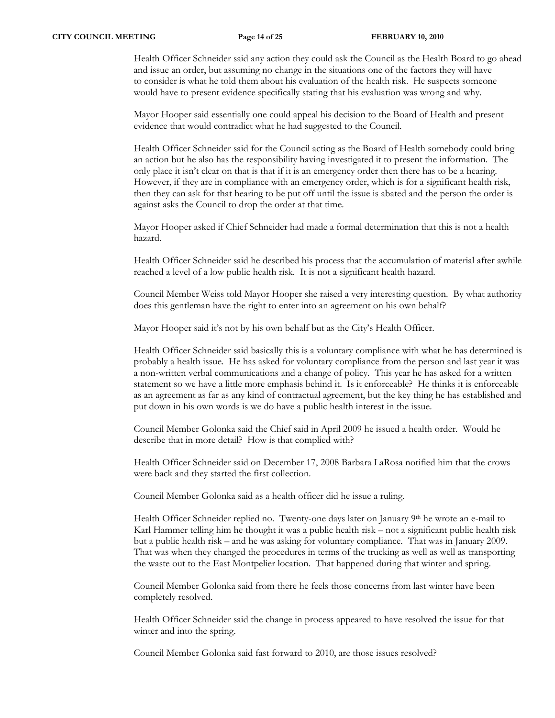Health Officer Schneider said any action they could ask the Council as the Health Board to go ahead and issue an order, but assuming no change in the situations one of the factors they will have to consider is what he told them about his evaluation of the health risk. He suspects someone would have to present evidence specifically stating that his evaluation was wrong and why.

Mayor Hooper said essentially one could appeal his decision to the Board of Health and present evidence that would contradict what he had suggested to the Council.

Health Officer Schneider said for the Council acting as the Board of Health somebody could bring an action but he also has the responsibility having investigated it to present the information. The only place it isn't clear on that is that if it is an emergency order then there has to be a hearing. However, if they are in compliance with an emergency order, which is for a significant health risk, then they can ask for that hearing to be put off until the issue is abated and the person the order is against asks the Council to drop the order at that time.

Mayor Hooper asked if Chief Schneider had made a formal determination that this is not a health hazard.

Health Officer Schneider said he described his process that the accumulation of material after awhile reached a level of a low public health risk. It is not a significant health hazard.

Council Member Weiss told Mayor Hooper she raised a very interesting question. By what authority does this gentleman have the right to enter into an agreement on his own behalf?

Mayor Hooper said it's not by his own behalf but as the City's Health Officer.

Health Officer Schneider said basically this is a voluntary compliance with what he has determined is probably a health issue. He has asked for voluntary compliance from the person and last year it was a non-written verbal communications and a change of policy. This year he has asked for a written statement so we have a little more emphasis behind it. Is it enforceable? He thinks it is enforceable as an agreement as far as any kind of contractual agreement, but the key thing he has established and put down in his own words is we do have a public health interest in the issue.

Council Member Golonka said the Chief said in April 2009 he issued a health order. Would he describe that in more detail? How is that complied with?

Health Officer Schneider said on December 17, 2008 Barbara LaRosa notified him that the crows were back and they started the first collection.

Council Member Golonka said as a health officer did he issue a ruling.

Health Officer Schneider replied no. Twenty-one days later on January 9th he wrote an e-mail to Karl Hammer telling him he thought it was a public health risk – not a significant public health risk but a public health risk – and he was asking for voluntary compliance. That was in January 2009. That was when they changed the procedures in terms of the trucking as well as well as transporting the waste out to the East Montpelier location. That happened during that winter and spring.

Council Member Golonka said from there he feels those concerns from last winter have been completely resolved.

Health Officer Schneider said the change in process appeared to have resolved the issue for that winter and into the spring.

Council Member Golonka said fast forward to 2010, are those issues resolved?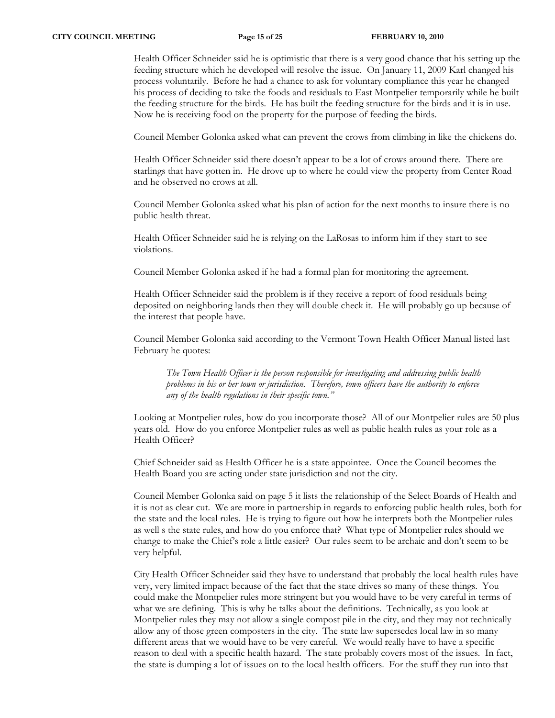Health Officer Schneider said he is optimistic that there is a very good chance that his setting up the feeding structure which he developed will resolve the issue. On January 11, 2009 Karl changed his process voluntarily. Before he had a chance to ask for voluntary compliance this year he changed his process of deciding to take the foods and residuals to East Montpelier temporarily while he built the feeding structure for the birds. He has built the feeding structure for the birds and it is in use. Now he is receiving food on the property for the purpose of feeding the birds.

Council Member Golonka asked what can prevent the crows from climbing in like the chickens do.

Health Officer Schneider said there doesn't appear to be a lot of crows around there. There are starlings that have gotten in. He drove up to where he could view the property from Center Road and he observed no crows at all.

Council Member Golonka asked what his plan of action for the next months to insure there is no public health threat.

Health Officer Schneider said he is relying on the LaRosas to inform him if they start to see violations.

Council Member Golonka asked if he had a formal plan for monitoring the agreement.

Health Officer Schneider said the problem is if they receive a report of food residuals being deposited on neighboring lands then they will double check it. He will probably go up because of the interest that people have.

Council Member Golonka said according to the Vermont Town Health Officer Manual listed last February he quotes:

*The Town Health Officer is the person responsible for investigating and addressing public health problems in his or her town or jurisdiction. Therefore, town officers have the authority to enforce any of the health regulations in their specific town."* 

Looking at Montpelier rules, how do you incorporate those? All of our Montpelier rules are 50 plus years old. How do you enforce Montpelier rules as well as public health rules as your role as a Health Officer?

Chief Schneider said as Health Officer he is a state appointee. Once the Council becomes the Health Board you are acting under state jurisdiction and not the city.

Council Member Golonka said on page 5 it lists the relationship of the Select Boards of Health and it is not as clear cut. We are more in partnership in regards to enforcing public health rules, both for the state and the local rules. He is trying to figure out how he interprets both the Montpelier rules as well s the state rules, and how do you enforce that? What type of Montpelier rules should we change to make the Chief's role a little easier? Our rules seem to be archaic and don't seem to be very helpful.

City Health Officer Schneider said they have to understand that probably the local health rules have very, very limited impact because of the fact that the state drives so many of these things. You could make the Montpelier rules more stringent but you would have to be very careful in terms of what we are defining. This is why he talks about the definitions. Technically, as you look at Montpelier rules they may not allow a single compost pile in the city, and they may not technically allow any of those green composters in the city. The state law supersedes local law in so many different areas that we would have to be very careful. We would really have to have a specific reason to deal with a specific health hazard. The state probably covers most of the issues. In fact, the state is dumping a lot of issues on to the local health officers. For the stuff they run into that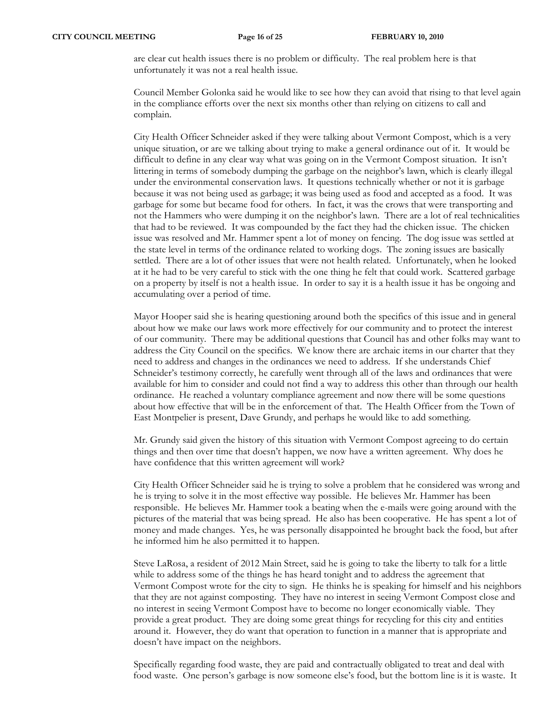are clear cut health issues there is no problem or difficulty. The real problem here is that unfortunately it was not a real health issue.

Council Member Golonka said he would like to see how they can avoid that rising to that level again in the compliance efforts over the next six months other than relying on citizens to call and complain.

City Health Officer Schneider asked if they were talking about Vermont Compost, which is a very unique situation, or are we talking about trying to make a general ordinance out of it. It would be difficult to define in any clear way what was going on in the Vermont Compost situation. It isn't littering in terms of somebody dumping the garbage on the neighbor's lawn, which is clearly illegal under the environmental conservation laws. It questions technically whether or not it is garbage because it was not being used as garbage; it was being used as food and accepted as a food. It was garbage for some but became food for others. In fact, it was the crows that were transporting and not the Hammers who were dumping it on the neighbor's lawn. There are a lot of real technicalities that had to be reviewed. It was compounded by the fact they had the chicken issue. The chicken issue was resolved and Mr. Hammer spent a lot of money on fencing. The dog issue was settled at the state level in terms of the ordinance related to working dogs. The zoning issues are basically settled. There are a lot of other issues that were not health related. Unfortunately, when he looked at it he had to be very careful to stick with the one thing he felt that could work. Scattered garbage on a property by itself is not a health issue. In order to say it is a health issue it has be ongoing and accumulating over a period of time.

Mayor Hooper said she is hearing questioning around both the specifics of this issue and in general about how we make our laws work more effectively for our community and to protect the interest of our community. There may be additional questions that Council has and other folks may want to address the City Council on the specifics. We know there are archaic items in our charter that they need to address and changes in the ordinances we need to address. If she understands Chief Schneider's testimony correctly, he carefully went through all of the laws and ordinances that were available for him to consider and could not find a way to address this other than through our health ordinance. He reached a voluntary compliance agreement and now there will be some questions about how effective that will be in the enforcement of that. The Health Officer from the Town of East Montpelier is present, Dave Grundy, and perhaps he would like to add something.

Mr. Grundy said given the history of this situation with Vermont Compost agreeing to do certain things and then over time that doesn't happen, we now have a written agreement. Why does he have confidence that this written agreement will work?

City Health Officer Schneider said he is trying to solve a problem that he considered was wrong and he is trying to solve it in the most effective way possible. He believes Mr. Hammer has been responsible. He believes Mr. Hammer took a beating when the e-mails were going around with the pictures of the material that was being spread. He also has been cooperative. He has spent a lot of money and made changes. Yes, he was personally disappointed he brought back the food, but after he informed him he also permitted it to happen.

Steve LaRosa, a resident of 2012 Main Street, said he is going to take the liberty to talk for a little while to address some of the things he has heard tonight and to address the agreement that Vermont Compost wrote for the city to sign. He thinks he is speaking for himself and his neighbors that they are not against composting. They have no interest in seeing Vermont Compost close and no interest in seeing Vermont Compost have to become no longer economically viable. They provide a great product. They are doing some great things for recycling for this city and entities around it. However, they do want that operation to function in a manner that is appropriate and doesn't have impact on the neighbors.

Specifically regarding food waste, they are paid and contractually obligated to treat and deal with food waste. One person's garbage is now someone else's food, but the bottom line is it is waste. It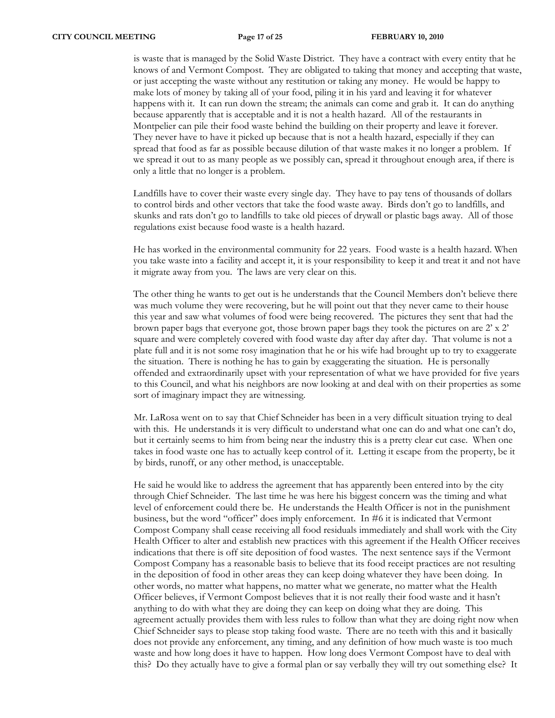is waste that is managed by the Solid Waste District. They have a contract with every entity that he knows of and Vermont Compost. They are obligated to taking that money and accepting that waste, or just accepting the waste without any restitution or taking any money. He would be happy to make lots of money by taking all of your food, piling it in his yard and leaving it for whatever happens with it. It can run down the stream; the animals can come and grab it. It can do anything because apparently that is acceptable and it is not a health hazard. All of the restaurants in Montpelier can pile their food waste behind the building on their property and leave it forever. They never have to have it picked up because that is not a health hazard, especially if they can spread that food as far as possible because dilution of that waste makes it no longer a problem. If we spread it out to as many people as we possibly can, spread it throughout enough area, if there is only a little that no longer is a problem.

Landfills have to cover their waste every single day. They have to pay tens of thousands of dollars to control birds and other vectors that take the food waste away. Birds don't go to landfills, and skunks and rats don't go to landfills to take old pieces of drywall or plastic bags away. All of those regulations exist because food waste is a health hazard.

He has worked in the environmental community for 22 years. Food waste is a health hazard. When you take waste into a facility and accept it, it is your responsibility to keep it and treat it and not have it migrate away from you. The laws are very clear on this.

The other thing he wants to get out is he understands that the Council Members don't believe there was much volume they were recovering, but he will point out that they never came to their house this year and saw what volumes of food were being recovered. The pictures they sent that had the brown paper bags that everyone got, those brown paper bags they took the pictures on are 2' x 2' square and were completely covered with food waste day after day after day. That volume is not a plate full and it is not some rosy imagination that he or his wife had brought up to try to exaggerate the situation. There is nothing he has to gain by exaggerating the situation. He is personally offended and extraordinarily upset with your representation of what we have provided for five years to this Council, and what his neighbors are now looking at and deal with on their properties as some sort of imaginary impact they are witnessing.

Mr. LaRosa went on to say that Chief Schneider has been in a very difficult situation trying to deal with this. He understands it is very difficult to understand what one can do and what one can't do, but it certainly seems to him from being near the industry this is a pretty clear cut case. When one takes in food waste one has to actually keep control of it. Letting it escape from the property, be it by birds, runoff, or any other method, is unacceptable.

He said he would like to address the agreement that has apparently been entered into by the city through Chief Schneider. The last time he was here his biggest concern was the timing and what level of enforcement could there be. He understands the Health Officer is not in the punishment business, but the word "officer" does imply enforcement. In #6 it is indicated that Vermont Compost Company shall cease receiving all food residuals immediately and shall work with the City Health Officer to alter and establish new practices with this agreement if the Health Officer receives indications that there is off site deposition of food wastes. The next sentence says if the Vermont Compost Company has a reasonable basis to believe that its food receipt practices are not resulting in the deposition of food in other areas they can keep doing whatever they have been doing. In other words, no matter what happens, no matter what we generate, no matter what the Health Officer believes, if Vermont Compost believes that it is not really their food waste and it hasn't anything to do with what they are doing they can keep on doing what they are doing. This agreement actually provides them with less rules to follow than what they are doing right now when Chief Schneider says to please stop taking food waste. There are no teeth with this and it basically does not provide any enforcement, any timing, and any definition of how much waste is too much waste and how long does it have to happen. How long does Vermont Compost have to deal with this? Do they actually have to give a formal plan or say verbally they will try out something else? It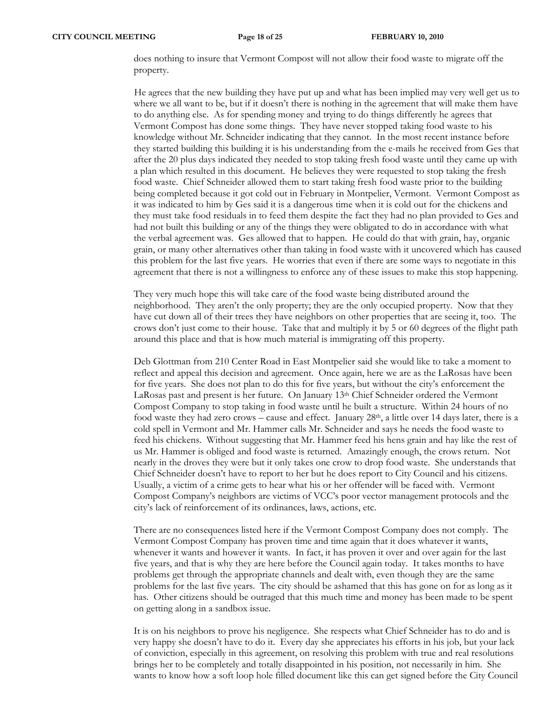does nothing to insure that Vermont Compost will not allow their food waste to migrate off the property.

He agrees that the new building they have put up and what has been implied may very well get us to where we all want to be, but if it doesn't there is nothing in the agreement that will make them have to do anything else. As for spending money and trying to do things differently he agrees that Vermont Compost has done some things. They have never stopped taking food waste to his knowledge without Mr. Schneider indicating that they cannot. In the most recent instance before they started building this building it is his understanding from the e-mails he received from Ges that after the 20 plus days indicated they needed to stop taking fresh food waste until they came up with a plan which resulted in this document. He believes they were requested to stop taking the fresh food waste. Chief Schneider allowed them to start taking fresh food waste prior to the building being completed because it got cold out in February in Montpelier, Vermont. Vermont Compost as it was indicated to him by Ges said it is a dangerous time when it is cold out for the chickens and they must take food residuals in to feed them despite the fact they had no plan provided to Ges and had not built this building or any of the things they were obligated to do in accordance with what the verbal agreement was. Ges allowed that to happen. He could do that with grain, hay, organic grain, or many other alternatives other than taking in food waste with it uncovered which has caused this problem for the last five years. He worries that even if there are some ways to negotiate in this agreement that there is not a willingness to enforce any of these issues to make this stop happening.

They very much hope this will take care of the food waste being distributed around the neighborhood. They aren't the only property; they are the only occupied property. Now that they have cut down all of their trees they have neighbors on other properties that are seeing it, too. The crows don't just come to their house. Take that and multiply it by 5 or 60 degrees of the flight path around this place and that is how much material is immigrating off this property.

Deb Glottman from 210 Center Road in East Montpelier said she would like to take a moment to reflect and appeal this decision and agreement. Once again, here we are as the LaRosas have been for five years. She does not plan to do this for five years, but without the city's enforcement the LaRosas past and present is her future. On January 13<sup>th</sup> Chief Schneider ordered the Vermont Compost Company to stop taking in food waste until he built a structure. Within 24 hours of no food waste they had zero crows – cause and effect. January  $28<sup>th</sup>$ , a little over 14 days later, there is a cold spell in Vermont and Mr. Hammer calls Mr. Schneider and says he needs the food waste to feed his chickens. Without suggesting that Mr. Hammer feed his hens grain and hay like the rest of us Mr. Hammer is obliged and food waste is returned. Amazingly enough, the crows return. Not nearly in the droves they were but it only takes one crow to drop food waste. She understands that Chief Schneider doesn't have to report to her but he does report to City Council and his citizens. Usually, a victim of a crime gets to hear what his or her offender will be faced with. Vermont Compost Company's neighbors are victims of VCC's poor vector management protocols and the city's lack of reinforcement of its ordinances, laws, actions, etc.

There are no consequences listed here if the Vermont Compost Company does not comply. The Vermont Compost Company has proven time and time again that it does whatever it wants, whenever it wants and however it wants. In fact, it has proven it over and over again for the last five years, and that is why they are here before the Council again today. It takes months to have problems get through the appropriate channels and dealt with, even though they are the same problems for the last five years. The city should be ashamed that this has gone on for as long as it has. Other citizens should be outraged that this much time and money has been made to be spent on getting along in a sandbox issue.

It is on his neighbors to prove his negligence. She respects what Chief Schneider has to do and is very happy she doesn't have to do it. Every day she appreciates his efforts in his job, but your lack of conviction, especially in this agreement, on resolving this problem with true and real resolutions brings her to be completely and totally disappointed in his position, not necessarily in him. She wants to know how a soft loop hole filled document like this can get signed before the City Council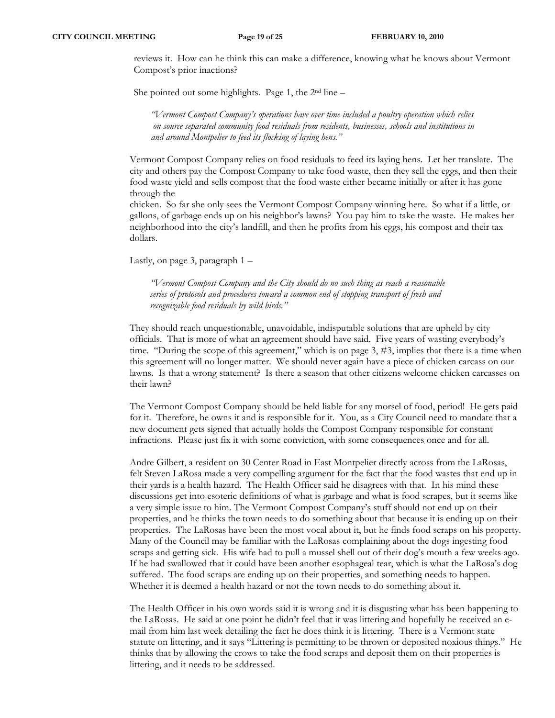reviews it. How can he think this can make a difference, knowing what he knows about Vermont Compost's prior inactions?

She pointed out some highlights. Page 1, the  $2<sup>nd</sup>$  line –

*"Vermont Compost Company's operations have over time included a poultry operation which relies on source separated community food residuals from residents, businesses, schools and institutions in and around Montpelier to feed its flocking of laying hens."* 

Vermont Compost Company relies on food residuals to feed its laying hens. Let her translate. The city and others pay the Compost Company to take food waste, then they sell the eggs, and then their food waste yield and sells compost that the food waste either became initially or after it has gone through the

chicken. So far she only sees the Vermont Compost Company winning here. So what if a little, or gallons, of garbage ends up on his neighbor's lawns? You pay him to take the waste. He makes her neighborhood into the city's landfill, and then he profits from his eggs, his compost and their tax dollars.

Lastly, on page 3, paragraph 1 –

*"Vermont Compost Company and the City should do no such thing as reach a reasonable series of protocols and procedures toward a common end of stopping transport of fresh and recognizable food residuals by wild birds."* 

They should reach unquestionable, unavoidable, indisputable solutions that are upheld by city officials. That is more of what an agreement should have said. Five years of wasting everybody's time. "During the scope of this agreement," which is on page 3, #3, implies that there is a time when this agreement will no longer matter. We should never again have a piece of chicken carcass on our lawns. Is that a wrong statement? Is there a season that other citizens welcome chicken carcasses on their lawn?

The Vermont Compost Company should be held liable for any morsel of food, period! He gets paid for it. Therefore, he owns it and is responsible for it. You, as a City Council need to mandate that a new document gets signed that actually holds the Compost Company responsible for constant infractions. Please just fix it with some conviction, with some consequences once and for all.

Andre Gilbert, a resident on 30 Center Road in East Montpelier directly across from the LaRosas, felt Steven LaRosa made a very compelling argument for the fact that the food wastes that end up in their yards is a health hazard. The Health Officer said he disagrees with that. In his mind these discussions get into esoteric definitions of what is garbage and what is food scrapes, but it seems like a very simple issue to him. The Vermont Compost Company's stuff should not end up on their properties, and he thinks the town needs to do something about that because it is ending up on their properties. The LaRosas have been the most vocal about it, but he finds food scraps on his property. Many of the Council may be familiar with the LaRosas complaining about the dogs ingesting food scraps and getting sick. His wife had to pull a mussel shell out of their dog's mouth a few weeks ago. If he had swallowed that it could have been another esophageal tear, which is what the LaRosa's dog suffered. The food scraps are ending up on their properties, and something needs to happen. Whether it is deemed a health hazard or not the town needs to do something about it.

The Health Officer in his own words said it is wrong and it is disgusting what has been happening to the LaRosas. He said at one point he didn't feel that it was littering and hopefully he received an email from him last week detailing the fact he does think it is littering. There is a Vermont state statute on littering, and it says "Littering is permitting to be thrown or deposited noxious things." He thinks that by allowing the crows to take the food scraps and deposit them on their properties is littering, and it needs to be addressed.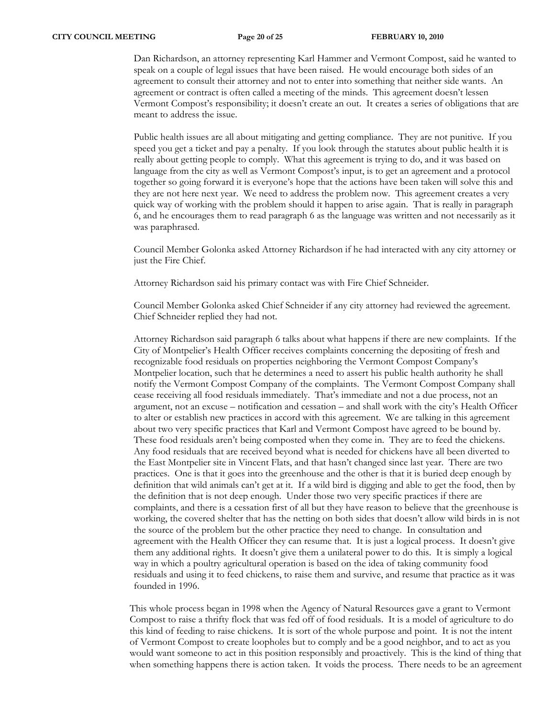Dan Richardson, an attorney representing Karl Hammer and Vermont Compost, said he wanted to speak on a couple of legal issues that have been raised. He would encourage both sides of an agreement to consult their attorney and not to enter into something that neither side wants. An agreement or contract is often called a meeting of the minds. This agreement doesn't lessen Vermont Compost's responsibility; it doesn't create an out. It creates a series of obligations that are meant to address the issue.

Public health issues are all about mitigating and getting compliance. They are not punitive. If you speed you get a ticket and pay a penalty. If you look through the statutes about public health it is really about getting people to comply. What this agreement is trying to do, and it was based on language from the city as well as Vermont Compost's input, is to get an agreement and a protocol together so going forward it is everyone's hope that the actions have been taken will solve this and they are not here next year. We need to address the problem now. This agreement creates a very quick way of working with the problem should it happen to arise again. That is really in paragraph 6, and he encourages them to read paragraph 6 as the language was written and not necessarily as it was paraphrased.

Council Member Golonka asked Attorney Richardson if he had interacted with any city attorney or just the Fire Chief.

Attorney Richardson said his primary contact was with Fire Chief Schneider.

Council Member Golonka asked Chief Schneider if any city attorney had reviewed the agreement. Chief Schneider replied they had not.

Attorney Richardson said paragraph 6 talks about what happens if there are new complaints. If the City of Montpelier's Health Officer receives complaints concerning the depositing of fresh and recognizable food residuals on properties neighboring the Vermont Compost Company's Montpelier location, such that he determines a need to assert his public health authority he shall notify the Vermont Compost Company of the complaints. The Vermont Compost Company shall cease receiving all food residuals immediately. That's immediate and not a due process, not an argument, not an excuse – notification and cessation – and shall work with the city's Health Officer to alter or establish new practices in accord with this agreement. We are talking in this agreement about two very specific practices that Karl and Vermont Compost have agreed to be bound by. These food residuals aren't being composted when they come in. They are to feed the chickens. Any food residuals that are received beyond what is needed for chickens have all been diverted to the East Montpelier site in Vincent Flats, and that hasn't changed since last year. There are two practices. One is that it goes into the greenhouse and the other is that it is buried deep enough by definition that wild animals can't get at it. If a wild bird is digging and able to get the food, then by the definition that is not deep enough. Under those two very specific practices if there are complaints, and there is a cessation first of all but they have reason to believe that the greenhouse is working, the covered shelter that has the netting on both sides that doesn't allow wild birds in is not the source of the problem but the other practice they need to change. In consultation and agreement with the Health Officer they can resume that. It is just a logical process. It doesn't give them any additional rights. It doesn't give them a unilateral power to do this. It is simply a logical way in which a poultry agricultural operation is based on the idea of taking community food residuals and using it to feed chickens, to raise them and survive, and resume that practice as it was founded in 1996.

This whole process began in 1998 when the Agency of Natural Resources gave a grant to Vermont Compost to raise a thrifty flock that was fed off of food residuals. It is a model of agriculture to do this kind of feeding to raise chickens. It is sort of the whole purpose and point. It is not the intent of Vermont Compost to create loopholes but to comply and be a good neighbor, and to act as you would want someone to act in this position responsibly and proactively. This is the kind of thing that when something happens there is action taken. It voids the process. There needs to be an agreement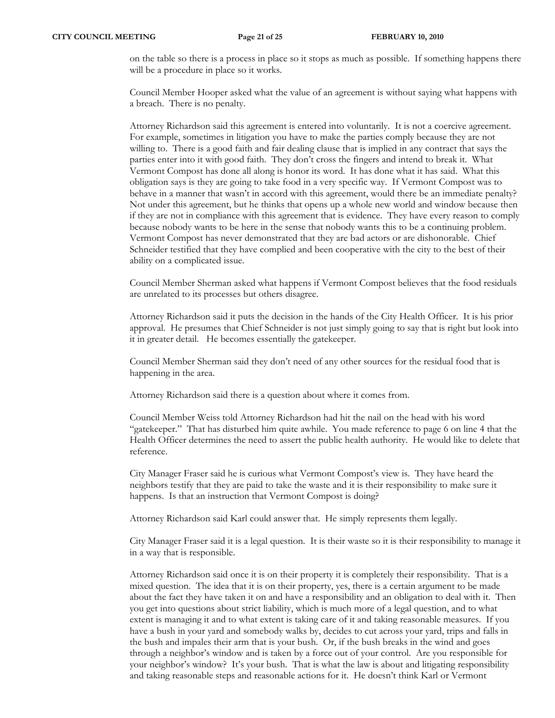on the table so there is a process in place so it stops as much as possible. If something happens there will be a procedure in place so it works.

Council Member Hooper asked what the value of an agreement is without saying what happens with a breach. There is no penalty.

Attorney Richardson said this agreement is entered into voluntarily. It is not a coercive agreement. For example, sometimes in litigation you have to make the parties comply because they are not willing to. There is a good faith and fair dealing clause that is implied in any contract that says the parties enter into it with good faith. They don't cross the fingers and intend to break it. What Vermont Compost has done all along is honor its word. It has done what it has said. What this obligation says is they are going to take food in a very specific way. If Vermont Compost was to behave in a manner that wasn't in accord with this agreement, would there be an immediate penalty? Not under this agreement, but he thinks that opens up a whole new world and window because then if they are not in compliance with this agreement that is evidence. They have every reason to comply because nobody wants to be here in the sense that nobody wants this to be a continuing problem. Vermont Compost has never demonstrated that they are bad actors or are dishonorable. Chief Schneider testified that they have complied and been cooperative with the city to the best of their ability on a complicated issue.

Council Member Sherman asked what happens if Vermont Compost believes that the food residuals are unrelated to its processes but others disagree.

Attorney Richardson said it puts the decision in the hands of the City Health Officer. It is his prior approval. He presumes that Chief Schneider is not just simply going to say that is right but look into it in greater detail. He becomes essentially the gatekeeper.

Council Member Sherman said they don't need of any other sources for the residual food that is happening in the area.

Attorney Richardson said there is a question about where it comes from.

Council Member Weiss told Attorney Richardson had hit the nail on the head with his word "gatekeeper." That has disturbed him quite awhile. You made reference to page 6 on line 4 that the Health Officer determines the need to assert the public health authority. He would like to delete that reference.

City Manager Fraser said he is curious what Vermont Compost's view is. They have heard the neighbors testify that they are paid to take the waste and it is their responsibility to make sure it happens. Is that an instruction that Vermont Compost is doing?

Attorney Richardson said Karl could answer that. He simply represents them legally.

City Manager Fraser said it is a legal question. It is their waste so it is their responsibility to manage it in a way that is responsible.

Attorney Richardson said once it is on their property it is completely their responsibility. That is a mixed question. The idea that it is on their property, yes, there is a certain argument to be made about the fact they have taken it on and have a responsibility and an obligation to deal with it. Then you get into questions about strict liability, which is much more of a legal question, and to what extent is managing it and to what extent is taking care of it and taking reasonable measures. If you have a bush in your yard and somebody walks by, decides to cut across your yard, trips and falls in the bush and impales their arm that is your bush. Or, if the bush breaks in the wind and goes through a neighbor's window and is taken by a force out of your control. Are you responsible for your neighbor's window? It's your bush. That is what the law is about and litigating responsibility and taking reasonable steps and reasonable actions for it. He doesn't think Karl or Vermont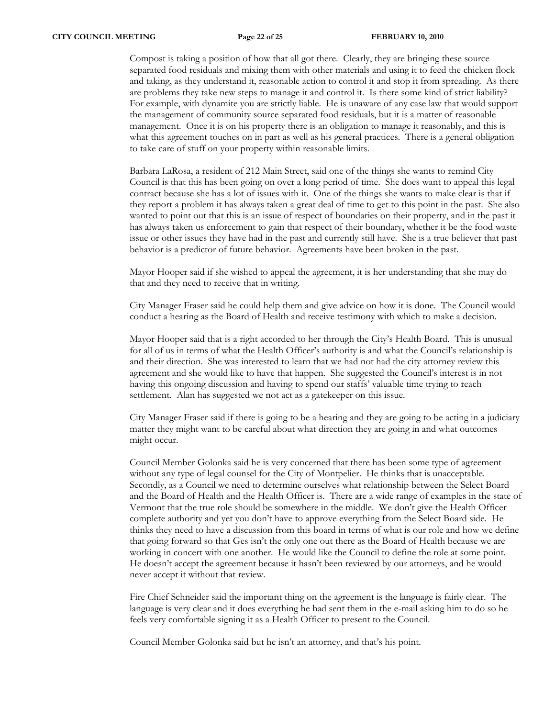Compost is taking a position of how that all got there. Clearly, they are bringing these source separated food residuals and mixing them with other materials and using it to feed the chicken flock and taking, as they understand it, reasonable action to control it and stop it from spreading. As there are problems they take new steps to manage it and control it. Is there some kind of strict liability? For example, with dynamite you are strictly liable. He is unaware of any case law that would support the management of community source separated food residuals, but it is a matter of reasonable management. Once it is on his property there is an obligation to manage it reasonably, and this is what this agreement touches on in part as well as his general practices. There is a general obligation to take care of stuff on your property within reasonable limits.

Barbara LaRosa, a resident of 212 Main Street, said one of the things she wants to remind City Council is that this has been going on over a long period of time. She does want to appeal this legal contract because she has a lot of issues with it. One of the things she wants to make clear is that if they report a problem it has always taken a great deal of time to get to this point in the past. She also wanted to point out that this is an issue of respect of boundaries on their property, and in the past it has always taken us enforcement to gain that respect of their boundary, whether it be the food waste issue or other issues they have had in the past and currently still have. She is a true believer that past behavior is a predictor of future behavior. Agreements have been broken in the past.

Mayor Hooper said if she wished to appeal the agreement, it is her understanding that she may do that and they need to receive that in writing.

City Manager Fraser said he could help them and give advice on how it is done. The Council would conduct a hearing as the Board of Health and receive testimony with which to make a decision.

Mayor Hooper said that is a right accorded to her through the City's Health Board. This is unusual for all of us in terms of what the Health Officer's authority is and what the Council's relationship is and their direction. She was interested to learn that we had not had the city attorney review this agreement and she would like to have that happen. She suggested the Council's interest is in not having this ongoing discussion and having to spend our staffs' valuable time trying to reach settlement. Alan has suggested we not act as a gatekeeper on this issue.

City Manager Fraser said if there is going to be a hearing and they are going to be acting in a judiciary matter they might want to be careful about what direction they are going in and what outcomes might occur.

Council Member Golonka said he is very concerned that there has been some type of agreement without any type of legal counsel for the City of Montpelier. He thinks that is unacceptable. Secondly, as a Council we need to determine ourselves what relationship between the Select Board and the Board of Health and the Health Officer is. There are a wide range of examples in the state of Vermont that the true role should be somewhere in the middle. We don't give the Health Officer complete authority and yet you don't have to approve everything from the Select Board side. He thinks they need to have a discussion from this board in terms of what is our role and how we define that going forward so that Ges isn't the only one out there as the Board of Health because we are working in concert with one another. He would like the Council to define the role at some point. He doesn't accept the agreement because it hasn't been reviewed by our attorneys, and he would never accept it without that review.

Fire Chief Schneider said the important thing on the agreement is the language is fairly clear. The language is very clear and it does everything he had sent them in the e-mail asking him to do so he feels very comfortable signing it as a Health Officer to present to the Council.

Council Member Golonka said but he isn't an attorney, and that's his point.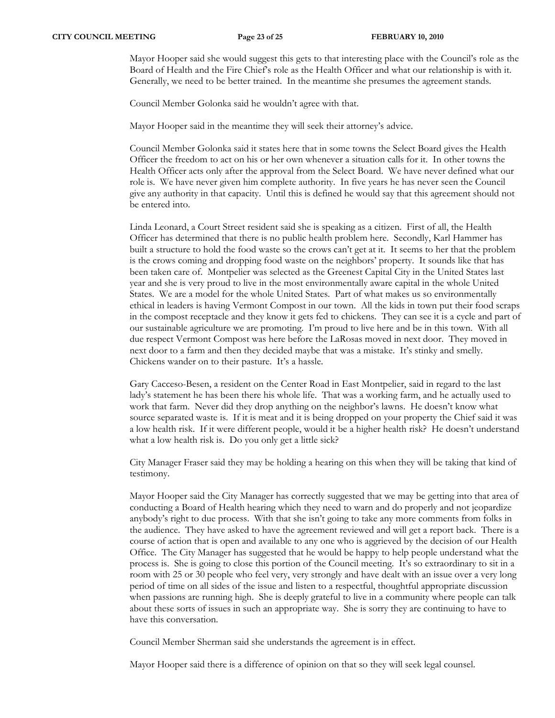Mayor Hooper said she would suggest this gets to that interesting place with the Council's role as the Board of Health and the Fire Chief's role as the Health Officer and what our relationship is with it. Generally, we need to be better trained. In the meantime she presumes the agreement stands.

Council Member Golonka said he wouldn't agree with that.

Mayor Hooper said in the meantime they will seek their attorney's advice.

Council Member Golonka said it states here that in some towns the Select Board gives the Health Officer the freedom to act on his or her own whenever a situation calls for it. In other towns the Health Officer acts only after the approval from the Select Board. We have never defined what our role is. We have never given him complete authority. In five years he has never seen the Council give any authority in that capacity. Until this is defined he would say that this agreement should not be entered into.

Linda Leonard, a Court Street resident said she is speaking as a citizen. First of all, the Health Officer has determined that there is no public health problem here. Secondly, Karl Hammer has built a structure to hold the food waste so the crows can't get at it. It seems to her that the problem is the crows coming and dropping food waste on the neighbors' property. It sounds like that has been taken care of. Montpelier was selected as the Greenest Capital City in the United States last year and she is very proud to live in the most environmentally aware capital in the whole United States. We are a model for the whole United States. Part of what makes us so environmentally ethical in leaders is having Vermont Compost in our town. All the kids in town put their food scraps in the compost receptacle and they know it gets fed to chickens. They can see it is a cycle and part of our sustainable agriculture we are promoting. I'm proud to live here and be in this town. With all due respect Vermont Compost was here before the LaRosas moved in next door. They moved in next door to a farm and then they decided maybe that was a mistake. It's stinky and smelly. Chickens wander on to their pasture. It's a hassle.

Gary Cacceso-Besen, a resident on the Center Road in East Montpelier, said in regard to the last lady's statement he has been there his whole life. That was a working farm, and he actually used to work that farm. Never did they drop anything on the neighbor's lawns. He doesn't know what source separated waste is. If it is meat and it is being dropped on your property the Chief said it was a low health risk. If it were different people, would it be a higher health risk? He doesn't understand what a low health risk is. Do you only get a little sick?

City Manager Fraser said they may be holding a hearing on this when they will be taking that kind of testimony.

Mayor Hooper said the City Manager has correctly suggested that we may be getting into that area of conducting a Board of Health hearing which they need to warn and do properly and not jeopardize anybody's right to due process. With that she isn't going to take any more comments from folks in the audience. They have asked to have the agreement reviewed and will get a report back. There is a course of action that is open and available to any one who is aggrieved by the decision of our Health Office. The City Manager has suggested that he would be happy to help people understand what the process is. She is going to close this portion of the Council meeting. It's so extraordinary to sit in a room with 25 or 30 people who feel very, very strongly and have dealt with an issue over a very long period of time on all sides of the issue and listen to a respectful, thoughtful appropriate discussion when passions are running high. She is deeply grateful to live in a community where people can talk about these sorts of issues in such an appropriate way. She is sorry they are continuing to have to have this conversation.

Council Member Sherman said she understands the agreement is in effect.

Mayor Hooper said there is a difference of opinion on that so they will seek legal counsel.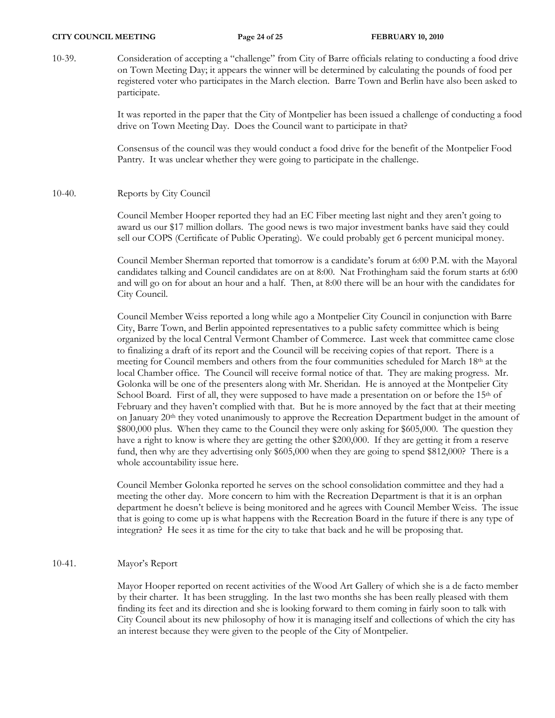10-39. Consideration of accepting a "challenge" from City of Barre officials relating to conducting a food drive on Town Meeting Day; it appears the winner will be determined by calculating the pounds of food per registered voter who participates in the March election. Barre Town and Berlin have also been asked to participate.

> It was reported in the paper that the City of Montpelier has been issued a challenge of conducting a food drive on Town Meeting Day. Does the Council want to participate in that?

Consensus of the council was they would conduct a food drive for the benefit of the Montpelier Food Pantry. It was unclear whether they were going to participate in the challenge.

## 10-40. Reports by City Council

Council Member Hooper reported they had an EC Fiber meeting last night and they aren't going to award us our \$17 million dollars. The good news is two major investment banks have said they could sell our COPS (Certificate of Public Operating). We could probably get 6 percent municipal money.

Council Member Sherman reported that tomorrow is a candidate's forum at 6:00 P.M. with the Mayoral candidates talking and Council candidates are on at 8:00. Nat Frothingham said the forum starts at 6:00 and will go on for about an hour and a half. Then, at 8:00 there will be an hour with the candidates for City Council.

Council Member Weiss reported a long while ago a Montpelier City Council in conjunction with Barre City, Barre Town, and Berlin appointed representatives to a public safety committee which is being organized by the local Central Vermont Chamber of Commerce. Last week that committee came close to finalizing a draft of its report and the Council will be receiving copies of that report. There is a meeting for Council members and others from the four communities scheduled for March 18th at the local Chamber office. The Council will receive formal notice of that. They are making progress. Mr. Golonka will be one of the presenters along with Mr. Sheridan. He is annoyed at the Montpelier City School Board. First of all, they were supposed to have made a presentation on or before the  $15<sup>th</sup>$  of February and they haven't complied with that. But he is more annoyed by the fact that at their meeting on January 20th they voted unanimously to approve the Recreation Department budget in the amount of \$800,000 plus. When they came to the Council they were only asking for \$605,000. The question they have a right to know is where they are getting the other \$200,000. If they are getting it from a reserve fund, then why are they advertising only \$605,000 when they are going to spend \$812,000? There is a whole accountability issue here.

Council Member Golonka reported he serves on the school consolidation committee and they had a meeting the other day. More concern to him with the Recreation Department is that it is an orphan department he doesn't believe is being monitored and he agrees with Council Member Weiss. The issue that is going to come up is what happens with the Recreation Board in the future if there is any type of integration? He sees it as time for the city to take that back and he will be proposing that.

## 10-41. Mayor's Report

Mayor Hooper reported on recent activities of the Wood Art Gallery of which she is a de facto member by their charter. It has been struggling. In the last two months she has been really pleased with them finding its feet and its direction and she is looking forward to them coming in fairly soon to talk with City Council about its new philosophy of how it is managing itself and collections of which the city has an interest because they were given to the people of the City of Montpelier.